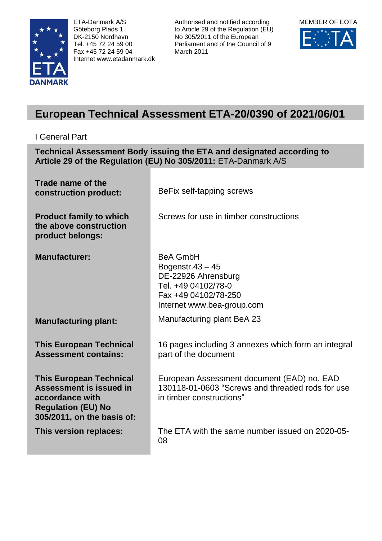

ETA-Danmark A/S Göteborg Plads 1 DK-2150 Nordhavn Tel. +45 72 24 59 00 Fax +45 72 24 59 04 Internet www.etadanmark.dk Authorised and notified according to Article 29 of the Regulation (EU) No 305/2011 of the European Parliament and of the Council of 9 March 2011



# **European Technical Assessment ETA-20/0390 of 2021/06/01**

I General Part

**Technical Assessment Body issuing the ETA and designated according to Article 29 of the Regulation (EU) No 305/2011:** ETA-Danmark A/S

| Trade name of the<br>construction product:                                                                                                     | BeFix self-tapping screws                                                                                                                  |
|------------------------------------------------------------------------------------------------------------------------------------------------|--------------------------------------------------------------------------------------------------------------------------------------------|
| <b>Product family to which</b><br>the above construction<br>product belongs:                                                                   | Screws for use in timber constructions                                                                                                     |
| <b>Manufacturer:</b>                                                                                                                           | <b>BeA GmbH</b><br>Bogenstr. $43 - 45$<br>DE-22926 Ahrensburg<br>Tel. +49 04102/78-0<br>Fax +49 04102/78-250<br>Internet www.bea-group.com |
| <b>Manufacturing plant:</b>                                                                                                                    | Manufacturing plant BeA 23                                                                                                                 |
| <b>This European Technical</b><br><b>Assessment contains:</b>                                                                                  | 16 pages including 3 annexes which form an integral<br>part of the document                                                                |
| <b>This European Technical</b><br><b>Assessment is issued in</b><br>accordance with<br><b>Regulation (EU) No</b><br>305/2011, on the basis of: | European Assessment document (EAD) no. EAD<br>130118-01-0603 "Screws and threaded rods for use<br>in timber constructions"                 |
| This version replaces:                                                                                                                         | The ETA with the same number issued on 2020-05-<br>08                                                                                      |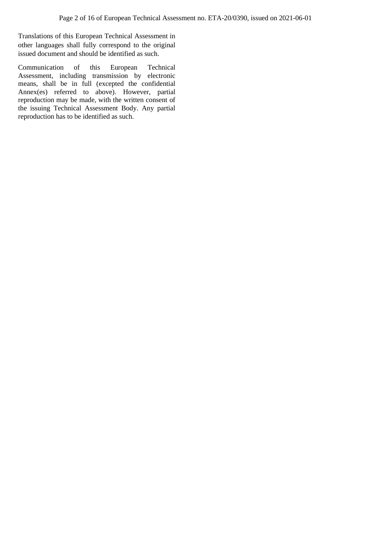Translations of this European Technical Assessment in other languages shall fully correspond to the original issued document and should be identified as such.

Communication of this European Technical Assessment, including transmission by electronic means, shall be in full (excepted the confidential Annex(es) referred to above). However, partial reproduction may be made, with the written consent of the issuing Technical Assessment Body. Any partial reproduction has to be identified as such.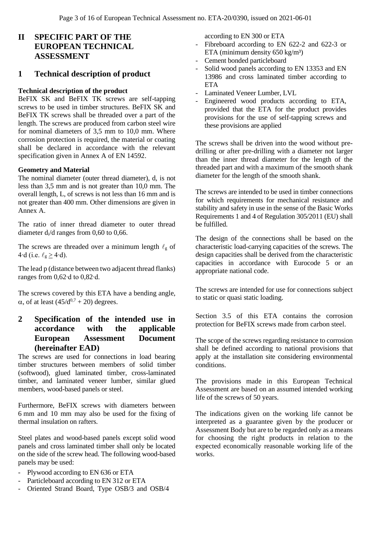# **II SPECIFIC PART OF THE EUROPEAN TECHNICAL ASSESSMENT**

### **1 Technical description of product**

#### **Technical description of the product**

BeFIX SK and BeFIX TK screws are self-tapping screws to be used in timber structures. BeFIX SK and BeFIX TK screws shall be threaded over a part of the length. The screws are produced from carbon steel wire for nominal diameters of 3,5 mm to 10,0 mm. Where corrosion protection is required, the material or coating shall be declared in accordance with the relevant specification given in Annex A of EN 14592.

#### **Geometry and Material**

The nominal diameter (outer thread diameter), d, is not less than 3,5 mm and is not greater than 10,0 mm. The overall length, L, of screws is not less than 16 mm and is not greater than 400 mm. Other dimensions are given in Annex A.

The ratio of inner thread diameter to outer thread diameter di/d ranges from 0,60 to 0,66.

The screws are threaded over a minimum length  $\ell_{\rm g}$  of 4⋅d (i.e.  $\ell_{\rm g} \geq 4$ ⋅d).

The lead p (distance between two adjacent thread flanks) ranges from 0,62∙d to 0,82∙d.

The screws covered by this ETA have a bending angle,  $\alpha$ , of at least (45/d<sup>0,7</sup> + 20) degrees.

# **2 Specification of the intended use in accordance with the applicable European Assessment Document (hereinafter EAD)**

The screws are used for connections in load bearing timber structures between members of solid timber (softwood), glued laminated timber, cross-laminated timber, and laminated veneer lumber, similar glued members, wood-based panels or steel.

Furthermore, BeFIX screws with diameters between 6 mm and 10 mm may also be used for the fixing of thermal insulation on rafters.

Steel plates and wood-based panels except solid wood panels and cross laminated timber shall only be located on the side of the screw head. The following wood-based panels may be used:

- Plywood according to EN 636 or ETA
- Particleboard according to EN 312 or ETA
- Oriented Strand Board, Type OSB/3 and OSB/4

according to EN 300 or ETA

- Fibreboard according to EN 622-2 and 622-3 or ETA (minimum density  $650 \text{ kg/m}^3$ )
- Cement bonded particleboard
- Solid wood panels according to EN 13353 and EN 13986 and cross laminated timber according to ETA
- Laminated Veneer Lumber, LVL
- Engineered wood products according to ETA, provided that the ETA for the product provides provisions for the use of self-tapping screws and these provisions are applied

The screws shall be driven into the wood without predrilling or after pre-drilling with a diameter not larger than the inner thread diameter for the length of the threaded part and with a maximum of the smooth shank diameter for the length of the smooth shank.

The screws are intended to be used in timber connections for which requirements for mechanical resistance and stability and safety in use in the sense of the Basic Works Requirements 1 and 4 of Regulation 305/2011 (EU) shall be fulfilled.

The design of the connections shall be based on the characteristic load-carrying capacities of the screws. The design capacities shall be derived from the characteristic capacities in accordance with Eurocode 5 or an appropriate national code.

The screws are intended for use for connections subject to static or quasi static loading.

Section 3.5 of this ETA contains the corrosion protection for BeFIX screws made from carbon steel.

The scope of the screws regarding resistance to corrosion shall be defined according to national provisions that apply at the installation site considering environmental conditions.

The provisions made in this European Technical Assessment are based on an assumed intended working life of the screws of 50 years.

The indications given on the working life cannot be interpreted as a guarantee given by the producer or Assessment Body but are to be regarded only as a means for choosing the right products in relation to the expected economically reasonable working life of the works.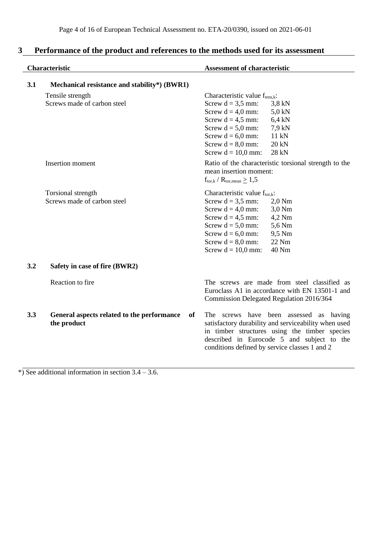|     | Characteristic                                                  | <b>Assessment of characteristic</b>                                                                                                                                                                                                                                               |  |  |
|-----|-----------------------------------------------------------------|-----------------------------------------------------------------------------------------------------------------------------------------------------------------------------------------------------------------------------------------------------------------------------------|--|--|
| 3.1 | Mechanical resistance and stability*) (BWR1)                    |                                                                                                                                                                                                                                                                                   |  |  |
|     | Tensile strength<br>Screws made of carbon steel                 | Characteristic value $f_{tens,k}$ :<br>Screw $d = 3.5$ mm:<br>$3,8$ kN<br>Screw $d = 4.0$ mm:<br>$5,0$ kN<br>Screw $d = 4.5$ mm:<br>$6,4$ kN<br>Screw $d = 5.0$ mm:<br>$7.9$ kN<br>Screw $d = 6.0$ mm:<br>11 kN<br>Screw $d = 8.0$ mm:<br>20 kN<br>Screw $d = 10,0$ mm:<br>28 kN  |  |  |
|     | Insertion moment                                                | Ratio of the characteristic torsional strength to the<br>mean insertion moment:<br>$f_{tor,k}$ / $R_{tor,mean} \geq 1.5$                                                                                                                                                          |  |  |
|     | Torsional strength<br>Screws made of carbon steel               | Characteristic value $f_{\text{tor},k}$ :<br>Screw $d = 3.5$ mm:<br>$2.0$ Nm<br>3,0 Nm<br>Screw $d = 4.0$ mm:<br>Screw $d = 4.5$ mm:<br>4,2 Nm<br>Screw $d = 5.0$ mm:<br>5,6 Nm<br>9,5 Nm<br>Screw $d = 6.0$ mm:<br>22 Nm<br>Screw $d = 8.0$ mm:<br>40 Nm<br>Screw $d = 10,0$ mm: |  |  |
| 3.2 | Safety in case of fire (BWR2)                                   |                                                                                                                                                                                                                                                                                   |  |  |
|     | Reaction to fire                                                | The screws are made from steel classified as<br>Euroclass A1 in accordance with EN 13501-1 and<br>Commission Delegated Regulation 2016/364                                                                                                                                        |  |  |
| 3.3 | General aspects related to the performance<br>of<br>the product | The screws have been assessed as having<br>satisfactory durability and serviceability when used<br>in timber structures using the timber species<br>described in Eurocode 5 and subject to the<br>conditions defined by service classes 1 and 2                                   |  |  |

# **3 Performance of the product and references to the methods used for its assessment**

 $\overline{\text{+}}$ ) See additional information in section 3.4 – 3.6.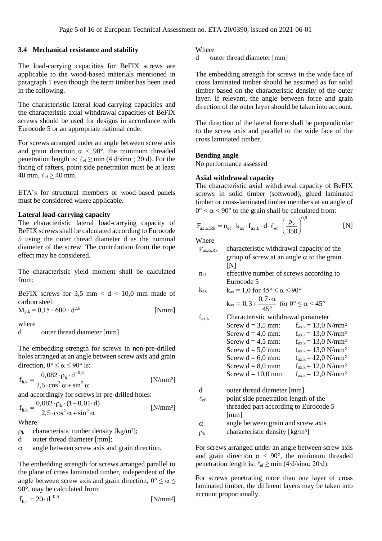#### **3.4 Mechanical resistance and stability**

The load-carrying capacities for BeFIX screws are applicable to the wood-based materials mentioned in paragraph 1 even though the term timber has been used in the following.

The characteristic lateral load-carrying capacities and the characteristic axial withdrawal capacities of BeFIX screws should be used for designs in accordance with Eurocode 5 or an appropriate national code.

For screws arranged under an angle between screw axis and grain direction  $\alpha < 90^{\circ}$ , the minimum threaded penetration length is:  $\ell_{\text{ef}} \ge \min (4 \cdot d / \sin \alpha ; 20 \cdot d)$ . For the fixing of rafters, point side penetration must be at least 40 mm,  $\ell_{\text{ef}} \geq 40$  mm.

ETA's for structural members or wood-based panels must be considered where applicable.

#### **Lateral load-carrying capacity**

The characteristic lateral load-carrying capacity of BeFIX screws shall be calculated according to Eurocode 5 using the outer thread diameter d as the nominal diameter of the screw. The contribution from the rope effect may be considered.

The characteristic yield moment shall be calculated from:

BeFIX screws for 3,5 mm  $\leq d \leq 10,0$  mm made of carbon steel:

 $M_{v,k} = 0,15 \cdot 600 \cdot d^{2,6}$ [Nmm]

where

d outer thread diameter [mm]

The embedding strength for screws in non-pre-drilled holes arranged at an angle between screw axis and grain direction,  $0^{\circ} \le \alpha \le 90^{\circ}$  is:

$$
f_{h,k} = \frac{0.082 \cdot \rho_k \cdot d^{-0.3}}{2.5 \cdot \cos^2 \alpha + \sin^2 \alpha}
$$
 [N/mm<sup>2</sup>]

and accordingly for screws in pre-drilled holes:  
\n
$$
f_{h,k} = \frac{0.082 \cdot \rho_k \cdot (1 - 0.01 \cdot d)}{2.5 \cdot \cos^2 \alpha + \sin^2 \alpha}
$$
 [N/mm<sup>2</sup>]

Where

 $\rho_k$  characteristic timber density [kg/m<sup>3</sup>];

d outer thread diameter [mm];

 $\alpha$  angle between screw axis and grain direction.

The embedding strength for screws arranged parallel to the plane of cross laminated timber, independent of the angle between screw axis and grain direction,  $0^{\circ} \le \alpha \le$ 90°, may be calculated from:

$$
f_{h,k} = 20 \cdot d^{-0.5}
$$
 [N/mm<sup>2</sup>]

#### Where

d outer thread diameter [mm]

The embedding strength for screws in the wide face of cross laminated timber should be assumed as for solid timber based on the characteristic density of the outer layer. If relevant, the angle between force and grain direction of the outer layer should be taken into account.

The direction of the lateral force shall be perpendicular to the screw axis and parallel to the wide face of the cross laminated timber.

#### **Bending angle**

No performance assessed

#### **Axial withdrawal capacity**

The characteristic axial withdrawal capacity of BeFIX screws in solid timber (softwood), glued laminated timber or cross-laminated timber members at an angle of

$$
0^{\circ} \le \alpha \le 90^{\circ} \text{ to the grain shall be calculated from:}
$$
  

$$
F_{ax,\alpha,Rk} = n_{ef} \cdot k_{ax} \cdot f_{ax,k} \cdot d \cdot \ell_{ef} \cdot \left(\frac{\rho_k}{350}\right)^{0.8} \quad [N]
$$

Where

| $F_{ax,\alpha,Rk}$ | characteristic withdrawal capacity of the        |
|--------------------|--------------------------------------------------|
|                    | group of screw at an angle $\alpha$ to the grain |
|                    | INI                                              |

nef effective number of screws according to Eurocode 5

k<sub>ax</sub>  $k_{ax} = 1.0$  for  $45^{\circ} \le \alpha \le 90^{\circ}$ 

$$
k_{ax}=0.3+\frac{0.7\cdot\alpha}{45^{\circ}}\ \ \text{for}\ 0^{\circ}\leq\alpha<45^{\circ}
$$

 $f_{ax,k}$  Characteristic withdrawal parameter

| Screw $d = 3.5$ mm:  | $f_{ax,k} = 13.0 \text{ N/mm}^2$ |
|----------------------|----------------------------------|
| Screw $d = 4.0$ mm:  | $f_{ax,k} = 13.0 \text{ N/mm}^2$ |
| Screw $d = 4.5$ mm:  | $f_{ax,k} = 13.0 \text{ N/mm}^2$ |
| Screw $d = 5.0$ mm:  | $f_{ax,k} = 13.0 \text{ N/mm}^2$ |
| Screw $d = 6.0$ mm:  | $f_{ax,k} = 12.0 \text{ N/mm}^2$ |
| Screw $d = 8.0$ mm:  | $f_{ax,k} = 12.0 \text{ N/mm}^2$ |
| Screw $d = 10,0$ mm: | $f_{ax,k} = 12.0 \text{ N/mm}^2$ |
|                      |                                  |

d outer thread diameter [mm]

$$
\ell_{\rm ef}
$$
 point side penetration length of the  
threaded part according to Eurocode 5  
[mm]

 $\alpha$  angle between grain and screw axis

 $\rho_k$  characteristic density [kg/m<sup>3</sup>]

For screws arranged under an angle between screw axis and grain direction  $\alpha < 90^{\circ}$ , the minimum threaded penetration length is:  $\ell_{\text{ef}} \ge \min (4 \cdot d / \sin \alpha; 20 \cdot d)$ .

For screws penetrating more than one layer of cross laminated timber, the different layers may be taken into account proportionally.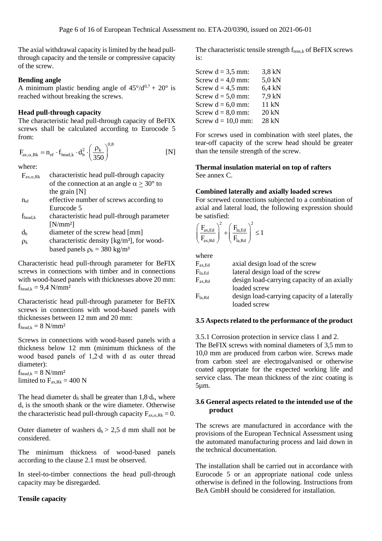The axial withdrawal capacity is limited by the head pullthrough capacity and the tensile or compressive capacity of the screw.

#### **Bending angle**

A minimum plastic bending angle of  $45^{\circ}/d^{0.7} + 20^{\circ}$  is reached without breaking the screws.

#### **Head pull-through capacity**

The characteristic head pull-through capacity of BeFIX screws shall be calculated according to Eurocode 5 from:

$$
\mathbf{F}_{\text{ax},\alpha,\text{Rk}} = \mathbf{n}_{\text{ef}} \cdot \mathbf{f}_{\text{head},k} \cdot \mathbf{d}_{\text{h}}^2 \cdot \left(\frac{\rho_{\text{k}}}{350}\right)^{0.8} \tag{N}
$$

where:

| $F_{ax,\alpha, Rk}$ | characteristic head pull-through capacity                 |
|---------------------|-----------------------------------------------------------|
|                     | of the connection at an angle $\alpha \geq 30^{\circ}$ to |
|                     | the grain $[N]$                                           |
| $n_{\rm ef}$        | effective number of screws according to                   |
|                     | Eurocode 5                                                |
| $f_{head,k}$        | characteristic head pull-through parameter                |

- [N/mm²]  $d<sub>h</sub>$  diameter of the screw head [mm]
- $\rho_k$  characteristic density [kg/m<sup>3</sup>], for woodbased panels  $p_k = 380 \text{ kg/m}^3$

Characteristic head pull-through parameter for BeFIX screws in connections with timber and in connections with wood-based panels with thicknesses above 20 mm:  $f_{\text{head},k} = 9.4 \text{ N/mm}^2$ 

Characteristic head pull-through parameter for BeFIX screws in connections with wood-based panels with thicknesses between 12 mm and 20 mm:  $f_{\text{head,k}} = 8 \text{ N/mm}^2$ 

Screws in connections with wood-based panels with a thickness below 12 mm (minimum thickness of the wood based panels of 1,2∙d with d as outer thread diameter):

 $f_{\text{head},k} = 8 \text{ N/mm}^2$ limited to  $F_{ax,Rk} = 400 N$ 

The head diameter d<sup>h</sup> shall be greater than 1,8∙ds, where d<sup>s</sup> is the smooth shank or the wire diameter. Otherwise the characteristic head pull-through capacity  $F_{ax,\alpha,Rk} = 0$ .

Outer diameter of washers  $d_h > 2.5$  d mm shall not be considered.

The minimum thickness of wood-based panels according to the clause 2.1 must be observed.

In steel-to-timber connections the head pull-through capacity may be disregarded.

#### **Tensile capacity**

The characteristic tensile strength  $f_{tens,k}$  of BeFIX screws is:

| Screw $d = 3.5$ mm:  | 3,8 kN   |
|----------------------|----------|
| Screw $d = 4.0$ mm:  | 5,0 kN   |
| Screw $d = 4.5$ mm:  | $6.4$ kN |
| Screw $d = 5.0$ mm:  | 7.9 kN   |
| Screw $d = 6.0$ mm:  | 11 kN    |
| Screw $d = 8.0$ mm:  | 20 kN    |
| Screw $d = 10.0$ mm: | 28 kN    |

For screws used in combination with steel plates, the tear-off capacity of the screw head should be greater than the tensile strength of the screw.

# **Thermal insulation material on top of rafters**

See annex C.

#### **Combined laterally and axially loaded screws**

For screwed connections subjected to a combination of axial and lateral load, the following expression should be satisfied:

$$
\left(\frac{F_{ax,Ed}}{F_{ax,Rd}}\right)^{\!2}+\!\left(\frac{F_{la,Ld}}{F_{la,Rd}}\right)^{\!2}\leq1
$$

where

| $F_{ax,Ed}$     | axial design load of the screw               |
|-----------------|----------------------------------------------|
| $\rm F_{la,Ed}$ | lateral design load of the screw             |
| $F_{ax, Rd}$    | design load-carrying capacity of an axially  |
|                 | loaded screw                                 |
| $F_{la, Rd}$    | design load-carrying capacity of a laterally |
|                 | loaded screw                                 |

#### **3.5 Aspects related to the performance of the product**

3.5.1 Corrosion protection in service class 1 and 2.

The BeFIX screws with nominal diameters of 3,5 mm to 10,0 mm are produced from carbon wire. Screws made from carbon steel are electrogalvanised or otherwise coated appropriate for the expected working life and service class. The mean thickness of the zinc coating is 5µm.

#### **3.6 General aspects related to the intended use of the product**

The screws are manufactured in accordance with the provisions of the European Technical Assessment using the automated manufacturing process and laid down in the technical documentation.

The installation shall be carried out in accordance with Eurocode 5 or an appropriate national code unless otherwise is defined in the following. Instructions from BeA GmbH should be considered for installation.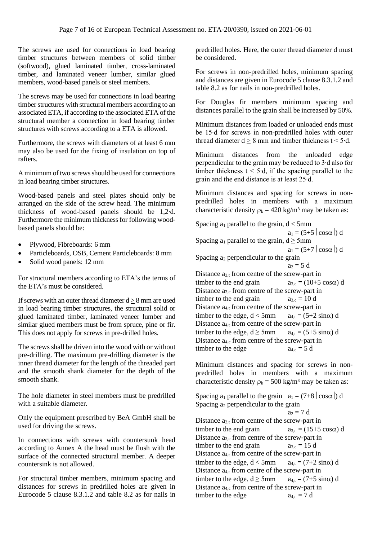The screws are used for connections in load bearing timber structures between members of solid timber (softwood), glued laminated timber, cross-laminated timber, and laminated veneer lumber, similar glued members, wood-based panels or steel members.

The screws may be used for connections in load bearing timber structures with structural members according to an associated ETA, if according to the associated ETA of the structural member a connection in load bearing timber structures with screws according to a ETA is allowed.

Furthermore, the screws with diameters of at least 6 mm may also be used for the fixing of insulation on top of rafters.

A minimum of two screws should be used for connections in load bearing timber structures.

Wood-based panels and steel plates should only be arranged on the side of the screw head. The minimum thickness of wood-based panels should be 1,2∙d. Furthermore the minimum thickness for following woodbased panels should be:

- Plywood, Fibreboards: 6 mm
- Particleboards, OSB, Cement Particleboards: 8 mm
- Solid wood panels: 12 mm

For structural members according to ETA's the terms of the ETA's must be considered.

If screws with an outer thread diameter  $d > 8$  mm are used in load bearing timber structures, the structural solid or glued laminated timber, laminated veneer lumber and similar glued members must be from spruce, pine or fir. This does not apply for screws in pre-drilled holes.

The screws shall be driven into the wood with or without pre-drilling. The maximum pre-drilling diameter is the inner thread diameter for the length of the threaded part and the smooth shank diameter for the depth of the smooth shank.

The hole diameter in steel members must be predrilled with a suitable diameter.

Only the equipment prescribed by BeA GmbH shall be used for driving the screws.

In connections with screws with countersunk head according to Annex A the head must be flush with the surface of the connected structural member. A deeper countersink is not allowed.

For structural timber members, minimum spacing and distances for screws in predrilled holes are given in Eurocode 5 clause 8.3.1.2 and table 8.2 as for nails in predrilled holes. Here, the outer thread diameter d must be considered.

For screws in non-predrilled holes, minimum spacing and distances are given in Eurocode 5 clause 8.3.1.2 and table 8.2 as for nails in non-predrilled holes.

For Douglas fir members minimum spacing and distances parallel to the grain shall be increased by 50%.

Minimum distances from loaded or unloaded ends must be 15∙d for screws in non-predrilled holes with outer thread diameter  $d > 8$  mm and timber thickness t < 5⋅d.

Minimum distances from the unloaded edge perpendicular to the grain may be reduced to 3∙d also for timber thickness t < 5∙d, if the spacing parallel to the grain and the end distance is at least 25∙d.

Minimum distances and spacing for screws in nonpredrilled holes in members with a maximum characteristic density  $\rho_k = 420 \text{ kg/m}^3$  may be taken as:

Spacing  $a_1$  parallel to the grain,  $d < 5$ mm  $a_1 = (5+5 \mid \cos \alpha) d$ Spacing  $a_1$  parallel to the grain,  $d \ge 5$ mm  $a_1 = (5+7 | \cos \alpha) d$ Spacing a<sub>2</sub> perpendicular to the grain  $a_2 = 5 d$ Distance  $a_{3,t}$  from centre of the screw-part in timber to the end grain  $a_{3,c} = (10+5 \cos \alpha) d$ Distance  $a_{3,c}$  from centre of the screw-part in timber to the end grain  $a_{3,c} = 10 d$ Distance  $a_{4,t}$  from centre of the screw-part in timber to the edge,  $d < 5$ mm  $a_{4,t} = (5+2 \sin \alpha) d$ Distance  $a_{4,t}$  from centre of the screw-part in timber to the edge,  $d \ge 5$ mm  $a_{4,t} = (5+5 \sin \alpha) d$ Distance  $a_{4,c}$  from centre of the screw-part in timber to the edge  $a_{4,c} = 5 d$ 

Minimum distances and spacing for screws in nonpredrilled holes in members with a maximum characteristic density  $\rho_k = 500 \text{ kg/m}^3$  may be taken as:

Spacing a<sub>1</sub> parallel to the grain  $a_1 = (7+8 \cos \alpha) d$ Spacing  $a_2$  perpendicular to the grain  $a_2 = 7 d$ Distance  $a_{3,t}$  from centre of the screw-part in timber to the end grain  $a_{3,c} = (15+5 \cos \alpha) d$ Distance  $a_{3,c}$  from centre of the screw-part in timber to the end grain  $a_{3,c} = 15 d$ Distance  $a_{4,t}$  from centre of the screw-part in timber to the edge,  $d < 5$ mm  $a_{4,t} = (7+2 \sin \alpha) d$ Distance  $a_{4,t}$  from centre of the screw-part in timber to the edge,  $d \ge 5$ mm  $a_{4,t} = (7+5 \sin \alpha) d$ Distance  $a_{4,c}$  from centre of the screw-part in<br>timber to the edge  $a_{4,c} = 7$  d timber to the edge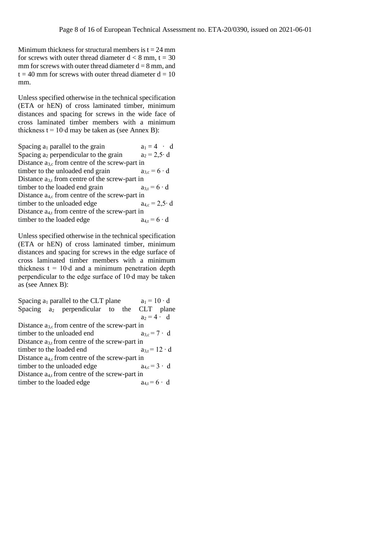Minimum thickness for structural members is  $t = 24$  mm for screws with outer thread diameter  $d < 8$  mm,  $t = 30$ mm for screws with outer thread diameter  $d = 8$  mm, and  $t = 40$  mm for screws with outer thread diameter  $d = 10$ mm.

Unless specified otherwise in the technical specification (ETA or hEN) of cross laminated timber, minimum distances and spacing for screws in the wide face of cross laminated timber members with a minimum thickness  $t = 10<sup>•</sup> d$  may be taken as (see Annex B):

Spacing a<sub>1</sub> parallel to the grain  $a_1 = 4 \cdot d$ <br>Spacing a<sub>2</sub> perpendicular to the grain  $a_2 = 2.5 \cdot d$ Spacing  $a_2$  perpendicular to the grain Distance  $a_{3,c}$  from centre of the screw-part in timber to the unloaded end grain  $a_{3,c} = 6 \cdot d$ Distance  $a_{3,t}$  from centre of the screw-part in<br>timber to the loaded end grain  $a_{3,t} = 6 \cdot d$ timber to the loaded end grain Distance  $a_{4,c}$  from centre of the screw-part in timber to the unloaded edge  $a_{4,c} = 2.5 \cdot d$ Distance  $a_{4,t}$  from centre of the screw-part in timber to the loaded edge  $a_{4,t} = 6 \cdot d$ 

Unless specified otherwise in the technical specification (ETA or hEN) of cross laminated timber, minimum distances and spacing for screws in the edge surface of cross laminated timber members with a minimum thickness  $t = 10 \text{·d}$  and a minimum penetration depth perpendicular to the edge surface of 10∙d may be taken as (see Annex B):

|                                                  | Spacing $a_1$ parallel to the CLT plane               |  | $a_1 = 10 \cdot d$     |  |  |
|--------------------------------------------------|-------------------------------------------------------|--|------------------------|--|--|
|                                                  | Spacing a <sub>2</sub> perpendicular to the CLT plane |  |                        |  |  |
|                                                  |                                                       |  | $a_2 = 4 \cdot d$      |  |  |
|                                                  | Distance $a_{3,c}$ from centre of the screw-part in   |  |                        |  |  |
| timber to the unloaded end<br>$a_3e = 7 \cdot d$ |                                                       |  |                        |  |  |
|                                                  | Distance $a_{3,t}$ from centre of the screw-part in   |  |                        |  |  |
|                                                  | timber to the loaded end                              |  | $a_{3,t} = 12 \cdot d$ |  |  |
|                                                  | Distance $a_{4,c}$ from centre of the screw-part in   |  |                        |  |  |
|                                                  | timber to the unloaded edge                           |  | $a_{4,c} = 3 \cdot d$  |  |  |
|                                                  | Distance $a_{4,t}$ from centre of the screw-part in   |  |                        |  |  |
|                                                  | timber to the loaded edge                             |  | $a_{4,t} = 6 \cdot d$  |  |  |
|                                                  |                                                       |  |                        |  |  |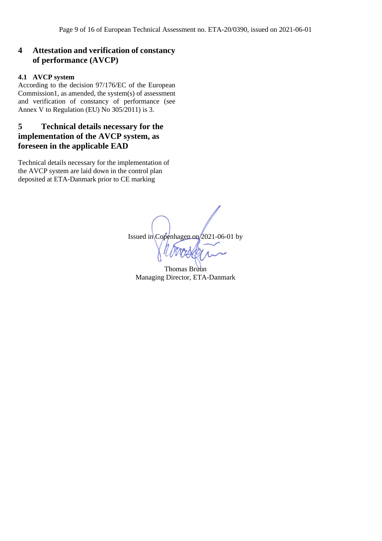### **4 Attestation and verification of constancy of performance (AVCP)**

#### **4.1 AVCP system**

According to the decision 97/176/EC of the European Commission1, as amended, the system(s) of assessment and verification of constancy of performance (see Annex V to Regulation (EU) No 305/2011) is 3.

# **5 Technical details necessary for the implementation of the AVCP system, as foreseen in the applicable EAD**

Technical details necessary for the implementation of the AVCP system are laid down in the control plan deposited at ETA-Danmark prior to CE marking

Issued in Copenhagen on 2021-06-01 by

Thomas Bruun Managing Director, ETA-Danmark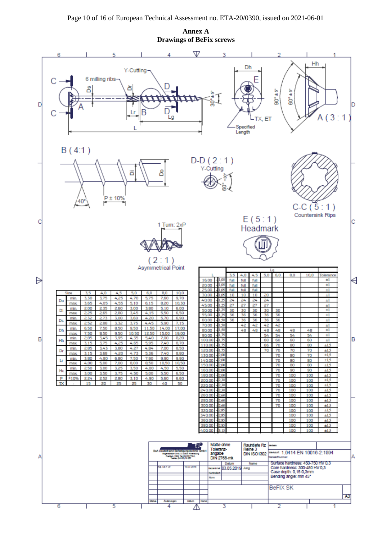**Annex A Drawings of BeFix screws**

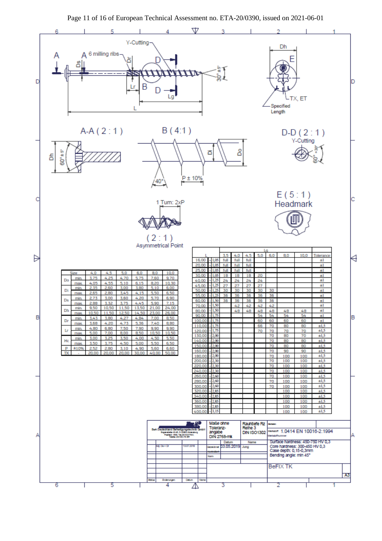

Page 11 of 16 of European Technical Assessment no. ETA-20/0390, issued on 2021-06-01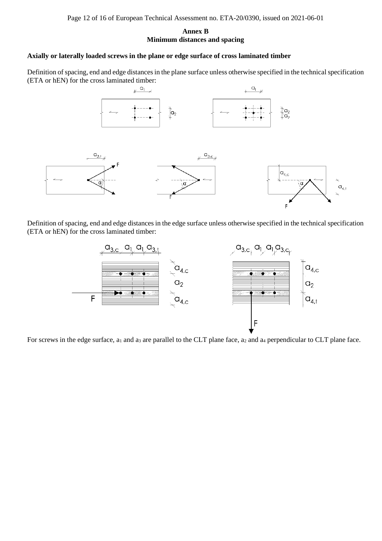#### **Annex B Minimum distances and spacing**

#### **Axially or laterally loaded screws in the plane or edge surface of cross laminated timber**

Definition of spacing, end and edge distances in the plane surface unless otherwise specified in the technical specification (ETA or hEN) for the cross laminated timber:



Definition of spacing, end and edge distances in the edge surface unless otherwise specified in the technical specification (ETA or hEN) for the cross laminated timber:



For screws in the edge surface,  $a_1$  and  $a_3$  are parallel to the CLT plane face,  $a_2$  and  $a_4$  perpendicular to CLT plane face.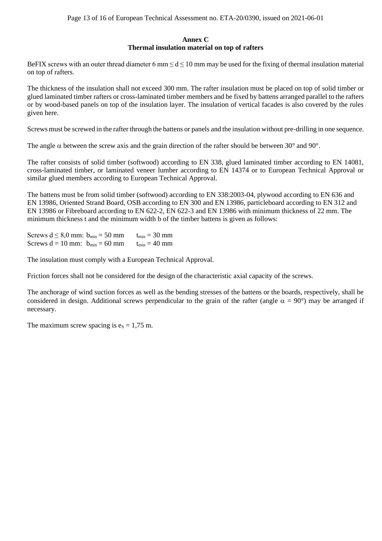#### **Annex C Thermal insulation material on top of rafters**

BeFIX screws with an outer thread diameter 6 mm  $\leq d \leq 10$  mm may be used for the fixing of thermal insulation material on top of rafters.

The thickness of the insulation shall not exceed 300 mm. The rafter insulation must be placed on top of solid timber or glued laminated timber rafters or cross-laminated timber members and be fixed by battens arranged parallel to the rafters or by wood-based panels on top of the insulation layer. The insulation of vertical facades is also covered by the rules given here.

Screws must be screwed in the rafter through the battens or panels and the insulation without pre-drilling in one sequence.

The angle  $\alpha$  between the screw axis and the grain direction of the rafter should be between 30° and 90°.

The rafter consists of solid timber (softwood) according to EN 338, glued laminated timber according to EN 14081, cross-laminated timber, or laminated veneer lumber according to EN 14374 or to European Technical Approval or similar glued members according to European Technical Approval.

The battens must be from solid timber (softwood) according to EN 338:2003-04, plywood according to EN 636 and EN 13986, Oriented Strand Board, OSB according to EN 300 and EN 13986, particleboard according to EN 312 and EN 13986 or Fibreboard according to EN 622-2, EN 622-3 and EN 13986 with minimum thickness of 22 mm. The minimum thickness t and the minimum width b of the timber battens is given as follows:

Screws  $d \le 8.0$  mm:  $b_{\text{min}} = 50$  mm  $t_{\text{min}} = 30$  mm Screws  $d = 10$  mm:  $b_{\text{min}} = 60$  mm  $t_{\text{min}} = 40$  mm

The insulation must comply with a European Technical Approval.

Friction forces shall not be considered for the design of the characteristic axial capacity of the screws.

The anchorage of wind suction forces as well as the bending stresses of the battens or the boards, respectively, shall be considered in design. Additional screws perpendicular to the grain of the rafter (angle  $\alpha = 90^{\circ}$ ) may be arranged if necessary.

The maximum screw spacing is  $e_s = 1,75$  m.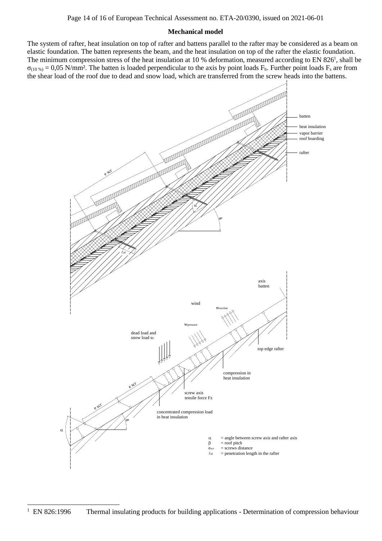#### **Mechanical model**

The system of rafter, heat insulation on top of rafter and battens parallel to the rafter may be considered as a beam on elastic foundation. The batten represents the beam, and the heat insulation on top of the rafter the elastic foundation. The minimum compression stress of the heat insulation at 10 % deformation, measured according to EN 826<sup>1</sup>, shall be  $\sigma_{(10\%)} = 0.05$  N/mm<sup>2</sup>. The batten is loaded perpendicular to the axis by point loads F<sub>b</sub>. Further point loads F<sub>s</sub> are from the shear load of the roof due to dead and snow load, which are transferred from the screw heads into the battens.

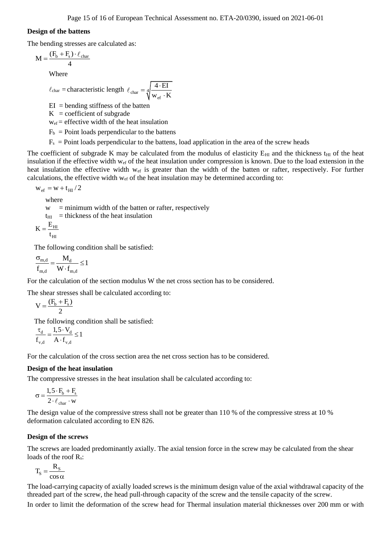#### **Design of the battens**

The bending stresses are calculated as:

$$
M=\frac{(F_b+F_s)\cdot\ell_{char}}{4}
$$

Where

$$
\ell_{\text{char}} = \text{characteristic length } \ell_{\text{char}} = \sqrt[4]{\frac{4 \cdot \text{EI}}{\text{w}_{\text{ef}} \cdot \text{K}}}
$$

 $EI =$  bending stiffness of the batten

 $K =$  coefficient of subgrade

 $w_{\text{ef}}$  = effective width of the heat insulation

 $F_b$  = Point loads perpendicular to the battens

 $F_s$  = Point loads perpendicular to the battens, load application in the area of the screw heads

The coefficient of subgrade K may be calculated from the modulus of elasticity  $E_{HI}$  and the thickness t<sub>HI</sub> of the heat insulation if the effective width wef of the heat insulation under compression is known. Due to the load extension in the heat insulation the effective width  $w_{cf}$  is greater than the width of the batten or rafter, respectively. For further calculations, the effective width wef of the heat insulation may be determined according to:

 $w_{\rm ef} = w + t_{\rm HI} / 2$ 

where

 $w =$  minimum width of the batten or rafter, respectively

 $t_{\text{HI}}$  = thickness of the heat insulation

$$
K=\frac{E_{\rm HI}}{}
$$

$$
t_{\rm HI}
$$

The following condition shall be satisfied:

 $m,d = \frac{1}{\text{VI}}_{\text{d}}$  $_{\text{m,d}}$   $\mathbf{w} \cdot \mathbf{I}_{\text{m,d}}$  $\frac{M_d}{I} \leq 1$  $f_{m,d}$  W · f  $\frac{\sigma_{\text{m,d}}}{\sigma_{\text{m}}^2} = \frac{M_d}{\sigma_{\text{m}}^2} \leq 1$ .

For the calculation of the section modulus W the net cross section has to be considered.

The shear stresses shall be calculated according to:

 $V = \frac{(F_b + F_s)}{2}$ 2  $=\frac{(F_{b}+)}{2}$ 

The following condition shall be satisfied:

$$
\frac{\tau_d}{f_{v,d}} = \frac{1, 5 \cdot V_d}{A \cdot f_{v,d}} \le 1
$$

For the calculation of the cross section area the net cross section has to be considered.

#### **Design of the heat insulation**

The compressive stresses in the heat insulation shall be calculated according to:

$$
\sigma\,{=}\,\frac{1,5\cdot F_b+F_s}{2\cdot\ell_{char}\cdot w}
$$

The design value of the compressive stress shall not be greater than 110 % of the compressive stress at 10 % deformation calculated according to EN 826.

#### **Design of the screws**

The screws are loaded predominantly axially. The axial tension force in the screw may be calculated from the shear loads of the roof  $R_{s}$ .

$$
T_S = \frac{R_S}{\cos \alpha}
$$

The load-carrying capacity of axially loaded screws is the minimum design value of the axial withdrawal capacity of the threaded part of the screw, the head pull-through capacity of the screw and the tensile capacity of the screw. In order to limit the deformation of the screw head for Thermal insulation material thicknesses over 200 mm or with